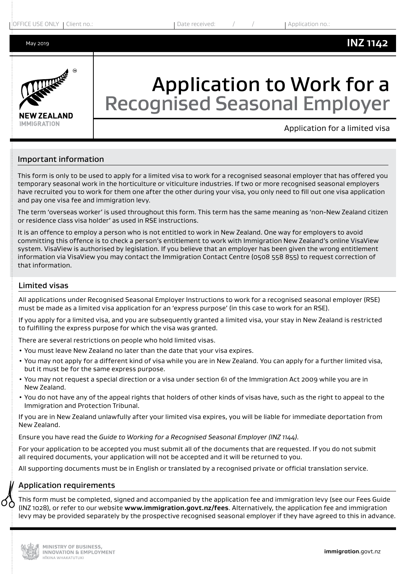

# Application to Work for a Recognised Seasonal Employer

Application for a limited visa

## Important information

This form is only to be used to apply for a limited visa to work for a recognised seasonal employer that has offered you temporary seasonal work in the horticulture or viticulture industries. If two or more recognised seasonal employers have recruited you to work for them one after the other during your visa, you only need to fill out one visa application and pay one visa fee and immigration levy.

The term 'overseas worker' is used throughout this form. This term has the same meaning as 'non-New Zealand citizen or residence class visa holder' as used in RSE instructions.

It is an offence to employ a person who is not entitled to work in New Zealand. One way for employers to avoid committing this offence is to check a person's entitlement to work with Immigration New Zealand's online VisaView system. VisaView is authorised by legislation. If you believe that an employer has been given the wrong entitlement information via VisaView you may contact the Immigration Contact Centre (0508 558 855) to request correction of that information.

#### Limited visas

All applications under Recognised Seasonal Employer Instructions to work for a recognised seasonal employer (RSE) must be made as a limited visa application for an 'express purpose' (in this case to work for an RSE).

If you apply for a limited visa, and you are subsequently granted a limited visa, your stay in New Zealand is restricted to fulfilling the express purpose for which the visa was granted.

There are several restrictions on people who hold limited visas.

- You must leave New Zealand no later than the date that your visa expires.
- You may not apply for a different kind of visa while you are in New Zealand. You can apply for a further limited visa, but it must be for the same express purpose.
- You may not request a special direction or a visa under section 61 of the Immigration Act 2009 while you are in New Zealand.
- You do not have any of the appeal rights that holders of other kinds of visas have, such as the right to appeal to the Immigration and Protection Tribunal.

If you are in New Zealand unlawfully after your limited visa expires, you will be liable for immediate deportation from New Zealand.

Ensure you have read the *Guide to Working for a Recognised Seasonal Employer (INZ 1144)*.

For your application to be accepted you must submit all of the documents that are requested. If you do not submit all required documents, your application will not be accepted and it will be returned to you.

All supporting documents must be in English or translated by a recognised private or official translation service.

#### Application requirements

This form must be completed, signed and accompanied by the application fee and immigration levy (see our Fees Guide (INZ 1028), or refer to our website **www.immigration.govt.nz/fees**. Alternatively, the application fee and immigration levy may be provided separately by the prospective recognised seasonal employer if they have agreed to this in advance.

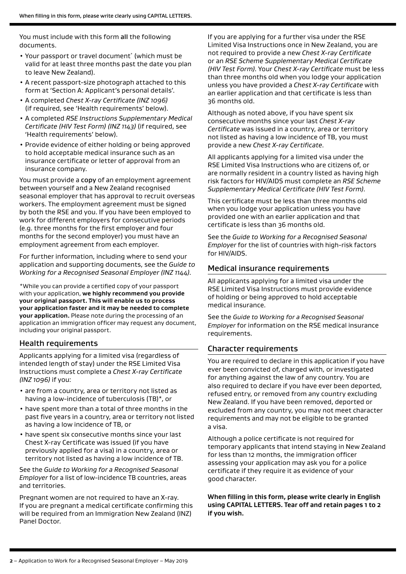You must include with this form all the following documents.

- Your passport or travel document<sup>\*</sup> (which must be valid for at least three months past the date you plan to leave New Zealand).
- A recent passport-size photograph attached to this form at 'Section A: Applicant's personal details'.
- A completed *Chest X-ray Certificate (INZ 1096)* (if required, see 'Health requirements' below).
- A completed *RSE Instructions Supplementary Medical Certificate (HIV Test Form) (INZ 1143)* (if required, see 'Health requirements' below).
- Provide evidence of either holding or being approved to hold acceptable medical insurance such as an insurance certificate or letter of approval from an insurance company.

You must provide a copy of an employment agreement between yourself and a New Zealand recognised seasonal employer that has approval to recruit overseas workers. The employment agreement must be signed by both the RSE and you. If you have been employed to work for different employers for consecutive periods (e.g. three months for the first employer and four months for the second employer) you must have an employment agreement from each employer.

For further information, including where to send your application and supporting documents, see the *Guide to Working for a Recognised Seasonal Employer (INZ 1144)*.

\*While you can provide a certified copy of your passport with your application, **we highly recommend you provide your original passport. This will enable us to process your application faster and it may be needed to complete your application.** Please note during the processing of an application an immigration officer may request any document, including your original passport.

## Health requirements

Applicants applying for a limited visa (regardless of intended length of stay) under the RSE Limited Visa Instructions must complete a *Chest X-ray Certificate (INZ 1096)* if you:

- are from a country, area or territory not listed as having a low-incidence of tuberculosis (TB)\*, or
- have spent more than a total of three months in the past five years in a country, area or territory not listed as having a low incidence of TB, or
- have spent six consecutive months since your last Chest X-ray Certificate was issued (if you have previously applied for a visa) in a country, area or territory not listed as having a low incidence of TB.

See the *Guide to Working for a Recognised Seasonal Employer* for a list of low-incidence TB countries, areas and territories.

Pregnant women are not required to have an X-ray. If you are pregnant a medical certificate confirming this will be required from an Immigration New Zealand (INZ) Panel Doctor.

If you are applying for a further visa under the RSE Limited Visa Instructions once in New Zealand, you are not required to provide a new *Chest X-ray Certificate*  or an *RSE Scheme Supplementary Medical Certificate (HIV Test Form)*. Your *Chest X-ray Certificate* must be less than three months old when you lodge your application unless you have provided a *Chest X-ray Certificate* with an earlier application and that certificate is less than 36 months old.

Although as noted above, if you have spent six consecutive months since your last *Chest X-ray Certificate* was issued in a country, area or territory not listed as having a low incidence of TB, you must provide a new *Chest X-ray Certificate*.

All applicants applying for a limited visa under the RSE Limited Visa Instructions who are citizens of, or are normally resident in a country listed as having high risk factors for HIV/AIDS must complete an *RSE Scheme Supplementary Medical Certificate (HIV Test Form)*.

This certificate must be less than three months old when you lodge your application unless you have provided one with an earlier application and that certificate is less than 36 months old.

See the *Guide to Working for a Recognised Seasonal Employer* for the list of countries with high-risk factors for HIV/AIDS.

#### Medical insurance requirements

All applicants applying for a limited visa under the RSE Limited Visa Instructions must provide evidence of holding or being approved to hold acceptable medical insurance.

See the *Guide to Working for a Recognised Seasonal Employer* for information on the RSE medical insurance requirements.

## Character requirements

You are required to declare in this application if you have ever been convicted of, charged with, or investigated for anything against the law of any country. You are also required to declare if you have ever been deported, refused entry, or removed from any country excluding New Zealand. If you have been removed, deported or excluded from any country, you may not meet character requirements and may not be eligible to be granted a visa.

Although a police certificate is not required for temporary applicants that intend staying in New Zealand for less than 12 months, the immigration officer assessing your application may ask you for a police certificate if they require it as evidence of your good character.

**When filling in this form, please write clearly in English using CAPITAL LETTERS. Tear off and retain pages 1 to 2 if you wish.**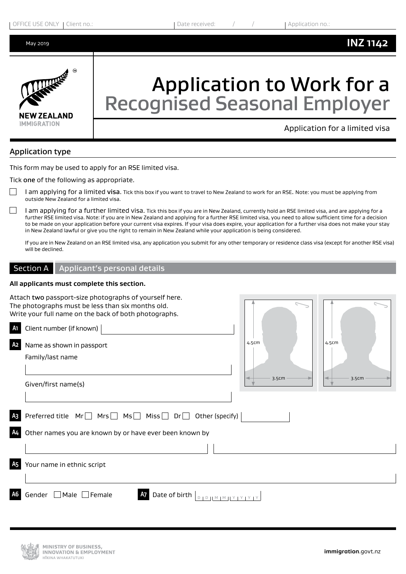

# Application to Work for a Recognised Seasonal Employer

Application for a limited visa

## Application type

This form may be used to apply for an RSE limited visa.

Tick one of the following as appropriate.

- I am applying for a limited visa. Tick this box if you want to travel to New Zealand to work for an RSE. Note: you must be applying from outside New Zealand for a limited visa.
- I am applying for a further limited visa. Tick this box if you are in New Zealand, currently hold an RSE limited visa, and are applying for a further RSE limited visa. Note: if you are in New Zealand and applying for a further RSE limited visa, you need to allow sufficient time for a decision to be made on your application before your current visa expires. If your visa does expire, your application for a further visa does not make your stay in New Zealand lawful or give you the right to remain in New Zealand while your application is being considered.

If you are in New Zealand on an RSE limited visa, any application you submit for any other temporary or residence class visa (except for another RSE visa) will be declined.

#### Section A | Applicant's personal details

#### **All applicants must complete this section.**

|                      | Attach two passport-size photographs of yourself here.<br>The photographs must be less than six months old.<br>Write your full name on the back of both photographs. |                |                |
|----------------------|----------------------------------------------------------------------------------------------------------------------------------------------------------------------|----------------|----------------|
| A1                   | Client number (if known)                                                                                                                                             |                |                |
| A <sub>2</sub>       | Name as shown in passport<br>Family/last name<br>Given/first name(s)                                                                                                 | 4.5cm<br>3.5cm | 4.5cm<br>3.5cm |
| A <sub>3</sub><br>Α4 | Preferred title $Mr \Box Mrs \Box Mis \Box Dir \Box$ Other (specify)<br>Other names you are known by or have ever been known by                                      |                |                |
|                      |                                                                                                                                                                      |                |                |
| <b>A5</b>            | Your name in ethnic script                                                                                                                                           |                |                |
|                      | Male $\Box$ Female<br>Date of birth<br>Gender                                                                                                                        |                |                |

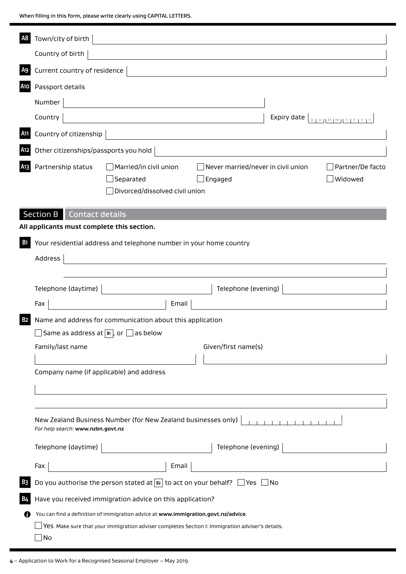When filling in this form, please write clearly using CAPITAL LETTERS.

| A8              | Town/city of birth                                                                                                                                                                     |
|-----------------|----------------------------------------------------------------------------------------------------------------------------------------------------------------------------------------|
|                 | Country of birth                                                                                                                                                                       |
| A <sub>9</sub>  | Current country of residence                                                                                                                                                           |
| A10             | Passport details                                                                                                                                                                       |
|                 | Number                                                                                                                                                                                 |
|                 | Country                                                                                                                                                                                |
| A <sub>11</sub> | Country of citizenship                                                                                                                                                                 |
| A12             | Other citizenships/passports you hold                                                                                                                                                  |
| A <sub>13</sub> | Partnership status<br>$\Box$ Married/in civil union<br>Never married/never in civil union<br>Partner/De facto<br>Separated<br>Widowed<br>$]$ Engaged<br>Divorced/dissolved civil union |
|                 | <b>Section B</b><br>Contact details                                                                                                                                                    |
|                 | All applicants must complete this section.                                                                                                                                             |
| <b>B</b> 1      | Your residential address and telephone number in your home country                                                                                                                     |
|                 | Address                                                                                                                                                                                |
|                 |                                                                                                                                                                                        |
|                 | Telephone (daytime)<br>Telephone (evening)                                                                                                                                             |
|                 | Email<br>Fax                                                                                                                                                                           |
| <b>B2</b>       | Name and address for communication about this application                                                                                                                              |
|                 | $\Box$ Same as address at $\boxed{B}$ , or $\Box$ as below                                                                                                                             |
|                 | Family/last name<br>Given/first name(s)                                                                                                                                                |
|                 | Company name (if applicable) and address                                                                                                                                               |
|                 |                                                                                                                                                                                        |
|                 |                                                                                                                                                                                        |
|                 | New Zealand Business Number (for New Zealand businesses only)<br>For help search: www.nzbn.govt.nz                                                                                     |
|                 | Telephone (evening)<br>Telephone (daytime)                                                                                                                                             |
|                 | Fax<br>Email                                                                                                                                                                           |
| B <sub>3</sub>  | Do you authorise the person stated at $\boxed{B2}$ to act on your behalf? $\Box$ Yes $\Box$ No                                                                                         |
| <b>B4</b>       | Have you received immigration advice on this application?                                                                                                                              |
| Ø               | You can find a definition of immigration advice at www.immigration.govt.nz/advice.                                                                                                     |
|                 | $\Box$ Yes Make sure that your immigration adviser completes Section I: Immigration adviser's details.                                                                                 |
|                 | $\sqcup$ No                                                                                                                                                                            |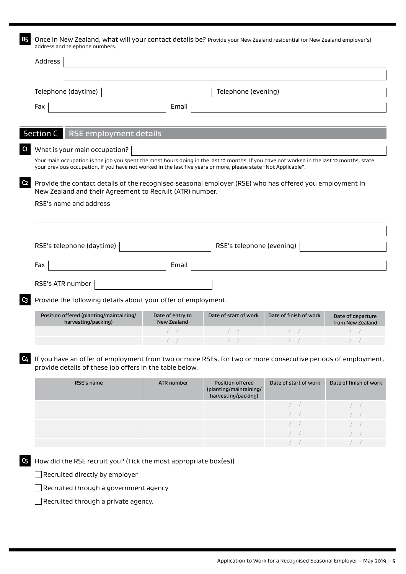**B5** Once in New Zealand, what will your contact details be? Provide your New Zealand residential (or New Zealand employer's) address and telephone numbers.

| Telephone (daytime)                                                                                                                                                                                                                                          |                  | Telephone (evening)                                               |                        |                                       |
|--------------------------------------------------------------------------------------------------------------------------------------------------------------------------------------------------------------------------------------------------------------|------------------|-------------------------------------------------------------------|------------------------|---------------------------------------|
| Fax                                                                                                                                                                                                                                                          | Email            |                                                                   |                        |                                       |
|                                                                                                                                                                                                                                                              |                  |                                                                   |                        |                                       |
| RSE employment details<br>Section C                                                                                                                                                                                                                          |                  |                                                                   |                        |                                       |
| What is your main occupation?                                                                                                                                                                                                                                |                  |                                                                   |                        |                                       |
| Your main occupation is the job you spent the most hours doing in the last 12 months. If you have not worked in the last 12 months, state<br>your previous occupation. If you have not worked in the last five years or more, please state "Not Applicable". |                  |                                                                   |                        |                                       |
| Provide the contact details of the recognised seasonal employer (RSE) who has offered you employment in<br>New Zealand and their Agreement to Recruit (ATR) number.                                                                                          |                  |                                                                   |                        |                                       |
| RSE's name and address                                                                                                                                                                                                                                       |                  |                                                                   |                        |                                       |
| RSE's telephone (daytime)                                                                                                                                                                                                                                    |                  | RSE's telephone (evening)                                         |                        |                                       |
| Fax                                                                                                                                                                                                                                                          | Email            |                                                                   |                        |                                       |
| RSE's ATR number                                                                                                                                                                                                                                             |                  |                                                                   |                        |                                       |
| Provide the following details about your offer of employment.                                                                                                                                                                                                |                  |                                                                   |                        |                                       |
| Position offered (planting/maintaining/                                                                                                                                                                                                                      | Date of entry to | Date of start of work                                             | Date of finish of work |                                       |
| harvesting/packing)                                                                                                                                                                                                                                          | New Zealand      |                                                                   |                        | Date of departure<br>from New Zealand |
|                                                                                                                                                                                                                                                              |                  |                                                                   |                        |                                       |
|                                                                                                                                                                                                                                                              |                  |                                                                   |                        |                                       |
| If you have an offer of employment from two or more RSEs, for two or more consecutive periods of employment,<br>provide details of these job offers in the table below.                                                                                      |                  |                                                                   |                        |                                       |
| RSE's name                                                                                                                                                                                                                                                   | ATR number       | Position offered<br>(planting/maintaining/<br>harvesting/packing) | Date of start of work  | Date of finish of work                |
|                                                                                                                                                                                                                                                              |                  |                                                                   | $\left  \quad \right $ |                                       |
|                                                                                                                                                                                                                                                              |                  |                                                                   | $\left  \quad \right $ |                                       |
|                                                                                                                                                                                                                                                              |                  |                                                                   |                        |                                       |
|                                                                                                                                                                                                                                                              |                  |                                                                   |                        |                                       |
|                                                                                                                                                                                                                                                              |                  |                                                                   | $\left  \quad \right $ |                                       |

Recruited through a government agency

Recruited through a private agency.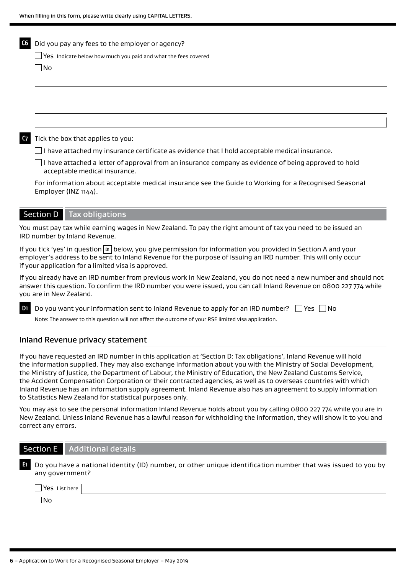| C6        | Did you pay any fees to the employer or agency?                                                                                               |
|-----------|-----------------------------------------------------------------------------------------------------------------------------------------------|
|           | $\Box$ Yes Indicate below how much you paid and what the fees covered                                                                         |
|           | $\Box$ No                                                                                                                                     |
|           |                                                                                                                                               |
|           |                                                                                                                                               |
|           |                                                                                                                                               |
|           |                                                                                                                                               |
|           |                                                                                                                                               |
| <b>C7</b> | Tick the box that applies to you:                                                                                                             |
|           | I have attached my insurance certificate as evidence that I hold acceptable medical insurance.                                                |
|           | I have attached a letter of approval from an insurance company as evidence of being approved to hold<br>acceptable medical insurance.         |
|           | For information about acceptable medical insurance see the Guide to Working for a Recognised Seasonal<br>Employer (INZ 1144).                 |
|           | <b>Section D</b> Tax obligations                                                                                                              |
|           | You must pay tax while earning wages in New Zealand. To pay the right amount of tax you need to be issued an<br>IRD number by Inland Revenue. |
|           | If you tick 'yes' in question $\vert p_1 \vert$ below you give permission for information you provided in Section A and your                  |

If you tick 'yes' in question **D**<sub>1</sub> below, you give permission for information you provided in Section A and your employer's address to be sent to Inland Revenue for the purpose of issuing an IRD number. This will only occur if your application for a limited visa is approved.

If you already have an IRD number from previous work in New Zealand, you do not need a new number and should not answer this question. To confirm the IRD number you were issued, you can call Inland Revenue on 0800 227 774 while you are in New Zealand.

| <b>D</b> Do you want your information sent to Inland Revenue to apply for an IRD number? $\Box$ Yes $\Box$ No |  |
|---------------------------------------------------------------------------------------------------------------|--|
| Note: The answer to this question will not affect the outcome of your RSE limited visa application.           |  |

#### Inland Revenue privacy statement

If you have requested an IRD number in this application at 'Section D: Tax obligations', Inland Revenue will hold the information supplied. They may also exchange information about you with the Ministry of Social Development, the Ministry of Justice, the Department of Labour, the Ministry of Education, the New Zealand Customs Service, the Accident Compensation Corporation or their contracted agencies, as well as to overseas countries with which Inland Revenue has an information supply agreement. Inland Revenue also has an agreement to supply information to Statistics New Zealand for statistical purposes only.

You may ask to see the personal information Inland Revenue holds about you by calling 0800 227 774 while you are in New Zealand. Unless Inland Revenue has a lawful reason for withholding the information, they will show it to you and correct any errors.

| <b>Section E</b> Additional details |
|-------------------------------------|
|                                     |

| $\blacksquare$ Do you have a national identity (ID) number, or other unique identification number that was issued to you by |
|-----------------------------------------------------------------------------------------------------------------------------|
| any government?                                                                                                             |

Yes List here

 $\Box$ No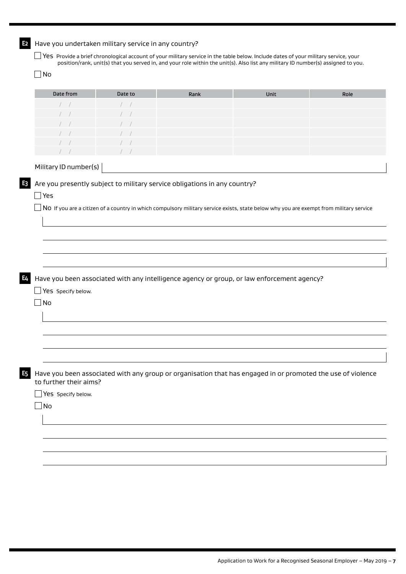| Date from                              | Date to | Rank                                                                      | Unit                                                                                                                                   | Role |
|----------------------------------------|---------|---------------------------------------------------------------------------|----------------------------------------------------------------------------------------------------------------------------------------|------|
|                                        |         |                                                                           |                                                                                                                                        |      |
|                                        |         |                                                                           |                                                                                                                                        |      |
|                                        |         |                                                                           |                                                                                                                                        |      |
|                                        |         |                                                                           |                                                                                                                                        |      |
|                                        |         |                                                                           |                                                                                                                                        |      |
|                                        |         |                                                                           |                                                                                                                                        |      |
| Military ID number(s)                  |         |                                                                           |                                                                                                                                        |      |
|                                        |         |                                                                           |                                                                                                                                        |      |
|                                        |         | Are you presently subject to military service obligations in any country? |                                                                                                                                        |      |
| Yes                                    |         |                                                                           |                                                                                                                                        |      |
|                                        |         |                                                                           | NO If you are a citizen of a country in which compulsory military service exists, state below why you are exempt from military service |      |
|                                        |         |                                                                           |                                                                                                                                        |      |
|                                        |         |                                                                           |                                                                                                                                        |      |
|                                        |         |                                                                           |                                                                                                                                        |      |
|                                        |         |                                                                           |                                                                                                                                        |      |
|                                        |         |                                                                           |                                                                                                                                        |      |
|                                        |         |                                                                           |                                                                                                                                        |      |
|                                        |         |                                                                           |                                                                                                                                        |      |
|                                        |         |                                                                           |                                                                                                                                        |      |
|                                        |         |                                                                           |                                                                                                                                        |      |
|                                        |         |                                                                           |                                                                                                                                        |      |
|                                        |         |                                                                           | Have you been associated with any intelligence agency or group, or law enforcement agency?                                             |      |
|                                        |         |                                                                           |                                                                                                                                        |      |
| Yes Specify below.                     |         |                                                                           |                                                                                                                                        |      |
|                                        |         |                                                                           |                                                                                                                                        |      |
| No                                     |         |                                                                           |                                                                                                                                        |      |
|                                        |         |                                                                           |                                                                                                                                        |      |
|                                        |         |                                                                           |                                                                                                                                        |      |
|                                        |         |                                                                           |                                                                                                                                        |      |
|                                        |         |                                                                           |                                                                                                                                        |      |
|                                        |         |                                                                           |                                                                                                                                        |      |
|                                        |         |                                                                           |                                                                                                                                        |      |
|                                        |         |                                                                           |                                                                                                                                        |      |
|                                        |         |                                                                           |                                                                                                                                        |      |
|                                        |         |                                                                           | Have you been associated with any group or organisation that has engaged in or promoted the use of violence                            |      |
|                                        |         |                                                                           |                                                                                                                                        |      |
|                                        |         |                                                                           |                                                                                                                                        |      |
| Yes Specify below.                     |         |                                                                           |                                                                                                                                        |      |
|                                        |         |                                                                           |                                                                                                                                        |      |
| to further their aims?<br>$\exists$ No |         |                                                                           |                                                                                                                                        |      |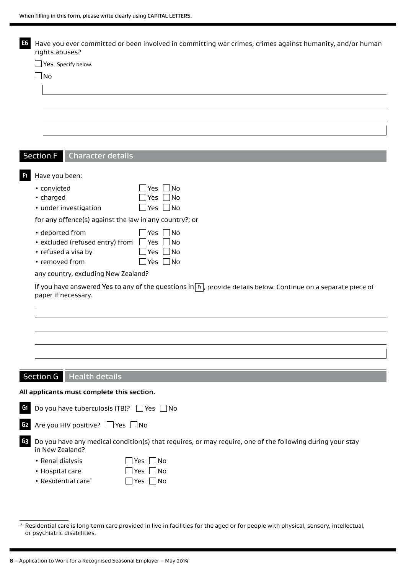| $\Box$ Yes Specify below.                                                                                                                                                                                                                                                            |                                                                                                                          |
|--------------------------------------------------------------------------------------------------------------------------------------------------------------------------------------------------------------------------------------------------------------------------------------|--------------------------------------------------------------------------------------------------------------------------|
| No                                                                                                                                                                                                                                                                                   |                                                                                                                          |
|                                                                                                                                                                                                                                                                                      |                                                                                                                          |
|                                                                                                                                                                                                                                                                                      |                                                                                                                          |
|                                                                                                                                                                                                                                                                                      |                                                                                                                          |
|                                                                                                                                                                                                                                                                                      |                                                                                                                          |
|                                                                                                                                                                                                                                                                                      |                                                                                                                          |
|                                                                                                                                                                                                                                                                                      |                                                                                                                          |
| <b>Section F</b><br><b>Character details</b>                                                                                                                                                                                                                                         |                                                                                                                          |
|                                                                                                                                                                                                                                                                                      |                                                                                                                          |
| Have you been:                                                                                                                                                                                                                                                                       |                                                                                                                          |
| • convicted                                                                                                                                                                                                                                                                          | No<br>Yes                                                                                                                |
| • charged                                                                                                                                                                                                                                                                            | No<br>Yes                                                                                                                |
| · under investigation                                                                                                                                                                                                                                                                | $\blacksquare$ No<br>Yes                                                                                                 |
| for any offence(s) against the law in any country?; or                                                                                                                                                                                                                               |                                                                                                                          |
| • deported from                                                                                                                                                                                                                                                                      | <b>Yes</b><br>No                                                                                                         |
| • excluded (refused entry) from                                                                                                                                                                                                                                                      | Yes<br><b>No</b>                                                                                                         |
| • refused a visa by                                                                                                                                                                                                                                                                  | No<br>Yes                                                                                                                |
|                                                                                                                                                                                                                                                                                      |                                                                                                                          |
|                                                                                                                                                                                                                                                                                      | No<br>Yes                                                                                                                |
|                                                                                                                                                                                                                                                                                      | If you have answered Yes to any of the questions in $\boxed{n}$ , provide details below. Continue on a separate piece of |
|                                                                                                                                                                                                                                                                                      |                                                                                                                          |
|                                                                                                                                                                                                                                                                                      |                                                                                                                          |
|                                                                                                                                                                                                                                                                                      |                                                                                                                          |
|                                                                                                                                                                                                                                                                                      |                                                                                                                          |
|                                                                                                                                                                                                                                                                                      |                                                                                                                          |
|                                                                                                                                                                                                                                                                                      |                                                                                                                          |
|                                                                                                                                                                                                                                                                                      |                                                                                                                          |
|                                                                                                                                                                                                                                                                                      | $\Box$ Yes<br>_  No                                                                                                      |
|                                                                                                                                                                                                                                                                                      |                                                                                                                          |
|                                                                                                                                                                                                                                                                                      |                                                                                                                          |
|                                                                                                                                                                                                                                                                                      | Do you have any medical condition(s) that requires, or may require, one of the following during your stay                |
|                                                                                                                                                                                                                                                                                      |                                                                                                                          |
|                                                                                                                                                                                                                                                                                      | $\Box$ Yes $\Box$ No                                                                                                     |
| • removed from<br>any country, excluding New Zealand?<br>paper if necessary.<br>Section G   Health details<br>All applicants must complete this section.<br>Do you have tuberculosis (TB)?<br>Are you HIV positive? Ves No<br>in New Zealand?<br>• Renal dialysis<br>• Hospital care | Yes $\Box$ No                                                                                                            |
| • Residential care*                                                                                                                                                                                                                                                                  | ∐Yes ∐No                                                                                                                 |
|                                                                                                                                                                                                                                                                                      |                                                                                                                          |

or psychiatric disabilities.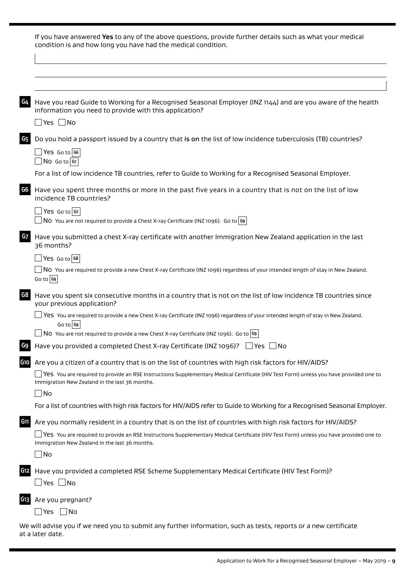|                 | If you have answered Yes to any of the above questions, provide further details such as what your medical<br>condition is and how long you have had the medical condition.                     |
|-----------------|------------------------------------------------------------------------------------------------------------------------------------------------------------------------------------------------|
|                 |                                                                                                                                                                                                |
|                 |                                                                                                                                                                                                |
| G4              | Have you read Guide to Working for a Recognised Seasonal Employer (INZ 1144) and are you aware of the health<br>information you need to provide with this application?                         |
|                 | $\Box$ Yes $\Box$ No                                                                                                                                                                           |
| G5              | Do you hold a passport issued by a country that is on the list of low incidence tuberculosis (TB) countries?<br>$\Box$ Yes Go to G6                                                            |
|                 | $\Box$ No Go to $ $ G7                                                                                                                                                                         |
|                 | For a list of low incidence TB countries, refer to Guide to Working for a Recognised Seasonal Employer.                                                                                        |
| G6              | Have you spent three months or more in the past five years in a country that is not on the list of low<br>incidence TB countries?                                                              |
|                 | $\Box$ Yes Go to $ $ G7                                                                                                                                                                        |
|                 | NO You are not required to provide a Chest X-ray Certificate (INZ 1096). Go to $ 99 $                                                                                                          |
| G7              | Have you submitted a chest X-ray certificate with another Immigration New Zealand application in the last<br>36 months?                                                                        |
|                 | $\Box$ Yes Go to G8                                                                                                                                                                            |
|                 | $\Box$ N0 You are required to provide a new Chest X-ray Certificate (INZ 1096) regardless of your intended length of stay in New Zealand.<br>Go to G9                                          |
| G8              | Have you spent six consecutive months in a country that is not on the list of low incidence TB countries since<br>your previous application?                                                   |
|                 | Yes You are required to provide a new Chest X-ray Certificate (INZ 1096) regardless of your intended length of stay in New Zealand.<br>Go to $G$                                               |
|                 | No You are not required to provide a new Chest X-ray Certificate (INZ 1096). Go to $\sim$                                                                                                      |
| G9              | Have you provided a completed Chest X-ray Certificate (INZ 1096)? $\Box$ Yes $\Box$ No                                                                                                         |
| G10             | Are you a citizen of a country that is on the list of countries with high risk factors for HIV/AIDS?                                                                                           |
|                 | $\Box$ Yes You are required to provide an RSE Instructions Supplementary Medical Certificate (HIV Test Form) unless you have provided one to<br>Immigration New Zealand in the last 36 months. |
|                 | $\Box$ No                                                                                                                                                                                      |
|                 | For a list of countries with high risk factors for HIV/AIDS refer to Guide to Working for a Recognised Seasonal Employer.                                                                      |
| G <sub>11</sub> | Are you normally resident in a country that is on the list of countries with high risk factors for HIV/AIDS?                                                                                   |
|                 | $\Box$ Yes You are required to provide an RSE Instructions Supplementary Medical Certificate (HIV Test Form) unless you have provided one to<br>Immigration New Zealand in the last 36 months. |
|                 | $\Box$ No                                                                                                                                                                                      |
| G12             | Have you provided a completed RSE Scheme Supplementary Medical Certificate (HIV Test Form)?<br>$\Box$ Yes $\Box$ No                                                                            |
| G13             | Are you pregnant?                                                                                                                                                                              |
|                 | _ Yes  __ No                                                                                                                                                                                   |

We will advise you if we need you to submit any further information, such as tests, reports or a new certificate at a later date.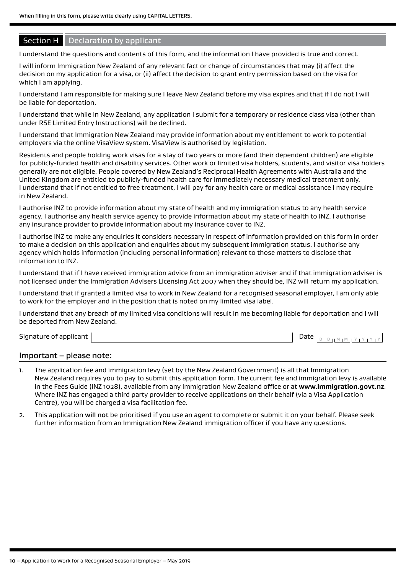# Section H | Declaration by applicant

I understand the questions and contents of this form, and the information I have provided is true and correct.

I will inform Immigration New Zealand of any relevant fact or change of circumstances that may (i) affect the decision on my application for a visa, or (ii) affect the decision to grant entry permission based on the visa for which I am applying.

I understand I am responsible for making sure I leave New Zealand before my visa expires and that if I do not I will be liable for deportation.

I understand that while in New Zealand, any application I submit for a temporary or residence class visa (other than under RSE Limited Entry Instructions) will be declined.

I understand that Immigration New Zealand may provide information about my entitlement to work to potential employers via the online VisaView system. VisaView is authorised by legislation.

Residents and people holding work visas for a stay of two years or more (and their dependent children) are eligible for publicly-funded health and disability services. Other work or limited visa holders, students, and visitor visa holders generally are not eligible. People covered by New Zealand's Reciprocal Health Agreements with Australia and the United Kingdom are entitled to publicly-funded health care for immediately necessary medical treatment only. I understand that if not entitled to free treatment, I will pay for any health care or medical assistance I may require in New Zealand.

I authorise INZ to provide information about my state of health and my immigration status to any health service agency. I authorise any health service agency to provide information about my state of health to INZ. I authorise any insurance provider to provide information about my insurance cover to INZ.

I authorise INZ to make any enquiries it considers necessary in respect of information provided on this form in order to make a decision on this application and enquiries about my subsequent immigration status. I authorise any agency which holds information (including personal information) relevant to those matters to disclose that information to INZ.

I understand that if I have received immigration advice from an immigration adviser and if that immigration adviser is not licensed under the Immigration Advisers Licensing Act 2007 when they should be, INZ will return my application.

I understand that if granted a limited visa to work in New Zealand for a recognised seasonal employer, I am only able to work for the employer and in the position that is noted on my limited visa label.

I understand that any breach of my limited visa conditions will result in me becoming liable for deportation and I will be deported from New Zealand.

Signature of applicant

|--|--|--|--|--|--|--|--|--|--|--|--|

#### Important – please note:

- 1. The application fee and immigration levy (set by the New Zealand Government) is all that Immigration New Zealand requires you to pay to submit this application form. The current fee and immigration levy is available in the Fees Guide (INZ 1028), available from any Immigration New Zealand office or at **www.immigration.govt.nz**. Where INZ has engaged a third party provider to receive applications on their behalf (via a Visa Application Centre), you will be charged a visa facilitation fee.
- 2. This application will not be prioritised if you use an agent to complete or submit it on your behalf. Please seek further information from an Immigration New Zealand immigration officer if you have any questions.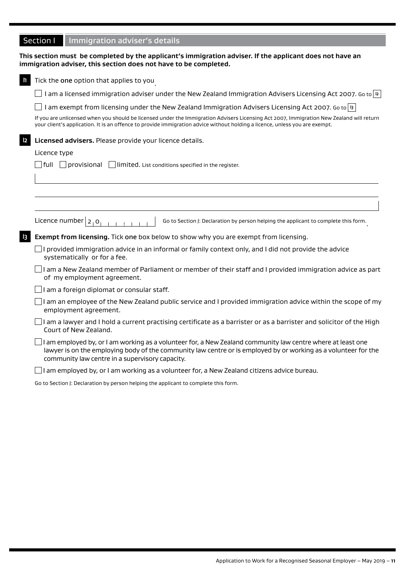|                | Section I<br>Immigration adviser's details                                                                                                                                                                                                                                                  |
|----------------|---------------------------------------------------------------------------------------------------------------------------------------------------------------------------------------------------------------------------------------------------------------------------------------------|
|                | This section must be completed by the applicant's immigration adviser. If the applicant does not have an<br>immigration adviser, this section does not have to be completed.                                                                                                                |
| $\mathbf{I}$   | Tick the one option that applies to you                                                                                                                                                                                                                                                     |
|                | $\Box$ I am a licensed immigration adviser under the New Zealand Immigration Advisers Licensing Act 2007. Go to $\vert$ 12 $\vert$                                                                                                                                                          |
|                | I am exempt from licensing under the New Zealand Immigration Advisers Licensing Act 2007. Go to   13                                                                                                                                                                                        |
|                | If you are unlicensed when you should be licensed under the Immigration Advisers Licensing Act 2007, Immigration New Zealand will return<br>your client's application. It is an offence to provide immigration advice without holding a licence, unless you are exempt.                     |
| $\mathsf{I2}$  | Licensed advisers. Please provide your licence details.                                                                                                                                                                                                                                     |
|                | Licence type                                                                                                                                                                                                                                                                                |
|                | $\Box$ full $\Box$ provisional $\Box$ limited. List conditions specified in the register.                                                                                                                                                                                                   |
|                |                                                                                                                                                                                                                                                                                             |
|                |                                                                                                                                                                                                                                                                                             |
|                |                                                                                                                                                                                                                                                                                             |
|                | Licence number $ 2,0 $<br>Go to Section J: Declaration by person helping the applicant to complete this form.                                                                                                                                                                               |
| $\overline{3}$ | Exempt from licensing. Tick one box below to show why you are exempt from licensing.                                                                                                                                                                                                        |
|                | $\Box$ I provided immigration advice in an informal or family context only, and I did not provide the advice<br>systematically or for a fee.                                                                                                                                                |
|                | I am a New Zealand member of Parliament or member of their staff and I provided immigration advice as part  <br>of my employment agreement.                                                                                                                                                 |
|                | $\rfloor$ l am a foreign diplomat or consular staff.                                                                                                                                                                                                                                        |
|                | I am an employee of the New Zealand public service and I provided immigration advice within the scope of my<br>employment agreement.                                                                                                                                                        |
|                | $\rfloor$ I am a lawyer and I hold a current practising certificate as a barrister or as a barrister and solicitor of the High<br>Court of New Zealand.                                                                                                                                     |
|                | $\rfloor$ I am employed by, or I am working as a volunteer for, a New Zealand community law centre where at least one<br>lawyer is on the employing body of the community law centre or is employed by or working as a volunteer for the<br>community law centre in a supervisory capacity. |
|                | I am employed by, or I am working as a volunteer for, a New Zealand citizens advice bureau.                                                                                                                                                                                                 |
|                | Go to Section J: Declaration by person helping the applicant to complete this form.                                                                                                                                                                                                         |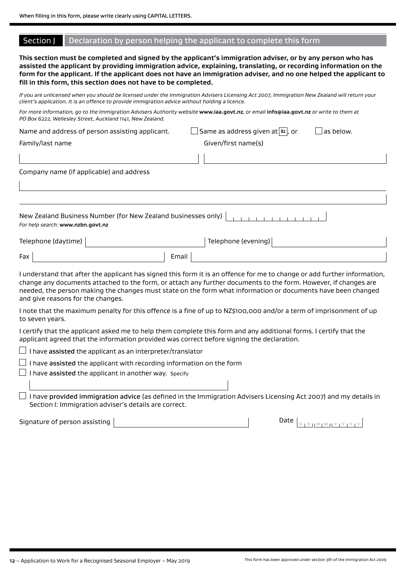#### Section J Declaration by person helping the applicant to complete this form

**This section must be completed and signed by the applicant's immigration adviser, or by any person who has assisted the applicant by providing immigration advice, explaining, translating, or recording information on the form for the applicant. If the applicant does not have an immigration adviser, and no one helped the applicant to fill in this form, this section does not have to be completed.**

*If you are unlicensed when you should be licensed under the Immigration Advisers Licensing Act 2007, Immigration New Zealand will return your client's application. It is an offence to provide immigration advice without holding a licence.*

*For more information, go to the Immigration Advisers Authority website* **www.iaa.govt.nz***, or email* **info@iaa.govt.nz** *or write to them at PO Box 6222, Wellesley Street, Auckland 1141, New Zealand.*

|  |  | Name and address of person assisting applicant. |  |
|--|--|-------------------------------------------------|--|
|  |  |                                                 |  |
|  |  |                                                 |  |

Family/last name Given/first name(s)

 $\Box$  Same as address given at  $\boxed{B2}$  , or

|  | as below |
|--|----------|

Company name (if applicable) and address

| For help search: www.nzbn.govt.nz |  |  |  |  |  |  |  |
|-----------------------------------|--|--|--|--|--|--|--|

| Telephone (daytime) |              | Telephone (evening) |  |
|---------------------|--------------|---------------------|--|
| Fax                 | <b>Email</b> |                     |  |

I understand that after the applicant has signed this form it is an offence for me to change or add further information, change any documents attached to the form, or attach any further documents to the form. However, if changes are needed, the person making the changes must state on the form what information or documents have been changed and give reasons for the changes.

I note that the maximum penalty for this offence is a fine of up to NZ\$100,000 and/or a term of imprisonment of up to seven years.

I certify that the applicant asked me to help them complete this form and any additional forms. I certify that the applicant agreed that the information provided was correct before signing the declaration.

 $\Box$  I have assisted the applicant as an interpreter/translator

 $\Box$  I have assisted the applicant with recording information on the form

 $\Box$  I have assisted the applicant in another way. Specify

 $\Box$  I have provided immigration advice (as defined in the Immigration Advisers Licensing Act 2007) and my details in Section I: Immigration adviser's details are correct.

Signature of person assisting  $\boxed{\phantom{a}$  Date  $\boxed{\phantom{a}$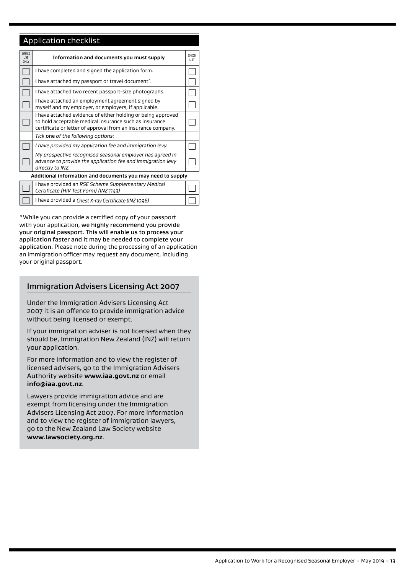## Application checklist

| <b>OFFICE</b><br><b>USE</b><br>ONLY | Information and documents you must supply                                                                                                                                              | <b>CHECK</b><br>I IST |
|-------------------------------------|----------------------------------------------------------------------------------------------------------------------------------------------------------------------------------------|-----------------------|
|                                     | I have completed and signed the application form.                                                                                                                                      |                       |
|                                     | I have attached my passport or travel document <sup>*</sup> .                                                                                                                          |                       |
|                                     | I have attached two recent passport-size photographs.                                                                                                                                  |                       |
|                                     | I have attached an employment agreement signed by<br>myself and my employer, or employers, if applicable.                                                                              |                       |
|                                     | I have attached evidence of either holding or being approved<br>to hold acceptable medical insurance such as insurance<br>certificate or letter of approval from an insurance company. |                       |
|                                     | Tick one of the following options:                                                                                                                                                     |                       |
|                                     | I have provided my application fee and immigration levy.                                                                                                                               |                       |
|                                     | My prospective recognised seasonal employer has agreed in<br>advance to provide the application fee and immigration levy<br>directly to INZ.                                           |                       |
|                                     | Additional information and documents you may need to supply                                                                                                                            |                       |
|                                     | I have provided an RSE Scheme Supplementary Medical<br>Certificate (HIV Test Form) (INZ 1143)                                                                                          |                       |
|                                     | I have provided a Chest X-ray Certificate (INZ 1096)                                                                                                                                   |                       |

\*While you can provide a certified copy of your passport with your application, we highly recommend you provide your original passport. This will enable us to process your application faster and it may be needed to complete your application. Please note during the processing of an application an immigration officer may request any document, including your original passport.

#### Immigration Advisers Licensing Act 2007

Under the Immigration Advisers Licensing Act 2007 it is an offence to provide immigration advice without being licensed or exempt.

If your immigration adviser is not licensed when they should be, Immigration New Zealand (INZ) will return your application.

For more information and to view the register of licensed advisers, go to the Immigration Advisers Authority website **www.iaa.govt.nz** or email **info@iaa.govt.nz**.

Lawyers provide immigration advice and are exempt from licensing under the Immigration Advisers Licensing Act 2007. For more information and to view the register of immigration lawyers, go to the New Zealand Law Society website **www.lawsociety.org.nz**.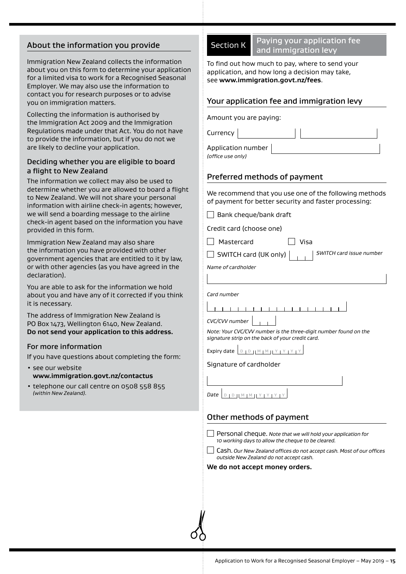## About the information you provide

Immigration New Zealand collects the information about you on this form to determine your application for a limited visa to work for a Recognised Seasonal Employer. We may also use the information to contact you for research purposes or to advise you on immigration matters.

Collecting the information is authorised by the Immigration Act 2009 and the Immigration Regulations made under that Act. You do not have to provide the information, but if you do not we are likely to decline your application.

#### Deciding whether you are eligible to board a flight to New Zealand

The information we collect may also be used to determine whether you are allowed to board a flight to New Zealand. We will not share your personal information with airline check-in agents; however, we will send a boarding message to the airline check-in agent based on the information you have provided in this form.

Immigration New Zealand may also share the information you have provided with other government agencies that are entitled to it by law, or with other agencies (as you have agreed in the declaration).

You are able to ask for the information we hold about you and have any of it corrected if you think it is necessary.

The address of Immigration New Zealand is PO Box 1473, Wellington 6140, New Zealand. **Do not send your application to this address.**

#### For more information

If you have questions about completing the form:

- see our website **www.immigration.govt.nz/contactus**
- telephone our call centre on 0508 558 855 *(within New Zealand).*

**B** Paying your application fee and immigration levy

To find out how much to pay, where to send your application, and how long a decision may take, see **www.immigration.govt.nz/fees**.

## Your application fee and immigration levy

Amount you are paying:

Application number

*(office use only)*

Currency |

## Preferred methods of payment

We recommend that you use one of the following methods of payment for better security and faster processing:

 $\Box$  Visa

 $\Box$  Bank cheque/bank draft

|  | Credit card (choose one) |  |
|--|--------------------------|--|
|  |                          |  |

SWITCH card (UK only) *SWITCH card issue number*

*Name of cardholder*

*Card number*

**TERMINER IN 1989** *CVC/CVV number*

*Note: Your CVC/CVV number is the three-digit number found on the signature strip on the back of your credit card.*

Expiry date  $D D M M N Y Y Y Y Y Y$ 

Signature of cardholder

| Date $D + D + M + M + Y$ |  |  |  |  |
|--------------------------|--|--|--|--|

## Other methods of payment

Personal cheque. *Note that we will hold your application for 10 working days to allow the cheque to be cleared.*

Cash. *Our New Zealand offices do not accept cash. Most of our offices outside New Zealand do not accept cash.*

#### **We do not accept money orders.**